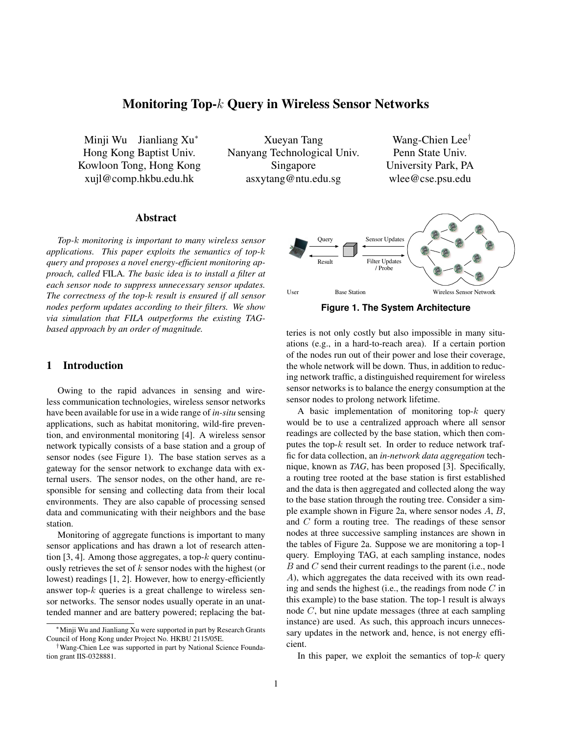# **Monitoring Top-**k **Query in Wireless Sensor Networks**

Minji Wu Jianliang Xu<sup>∗</sup> Hong Kong Baptist Univ. Kowloon Tong, Hong Kong xujl@comp.hkbu.edu.hk

Xueyan Tang Nanyang Technological Univ. Singapore asxytang@ntu.edu.sg

Wang-Chien Lee† Penn State Univ. University Park, PA wlee@cse.psu.edu

# **Abstract**

*Top-*k *monitoring is important to many wireless sensor applications. This paper exploits the semantics of top-*k *query and proposes a novel energy-efficient monitoring approach, called* FILA*. The basic idea is to install a filter at each sensor node to suppress unnecessary sensor updates. The correctness of the top-*k *result is ensured if all sensor nodes perform updates according to their filters. We show via simulation that FILA outperforms the existing TAGbased approach by an order of magnitude.*

#### **1 Introduction**

Owing to the rapid advances in sensing and wireless communication technologies, wireless sensor networks have been available for use in a wide range of *in-situ* sensing applications, such as habitat monitoring, wild-fire prevention, and environmental monitoring [4]. A wireless sensor network typically consists of a base station and a group of sensor nodes (see Figure 1). The base station serves as a gateway for the sensor network to exchange data with external users. The sensor nodes, on the other hand, are responsible for sensing and collecting data from their local environments. They are also capable of processing sensed data and communicating with their neighbors and the base station.

Monitoring of aggregate functions is important to many sensor applications and has drawn a lot of research attention [3, 4]. Among those aggregates, a top- $k$  query continuously retrieves the set of  $k$  sensor nodes with the highest (or lowest) readings [1, 2]. However, how to energy-efficiently answer top- $k$  queries is a great challenge to wireless sensor networks. The sensor nodes usually operate in an unattended manner and are battery powered; replacing the bat-



**Figure 1. The System Architecture**

teries is not only costly but also impossible in many situations (e.g., in a hard-to-reach area). If a certain portion of the nodes run out of their power and lose their coverage, the whole network will be down. Thus, in addition to reducing network traffic, a distinguished requirement for wireless sensor networks is to balance the energy consumption at the sensor nodes to prolong network lifetime.

A basic implementation of monitoring top- $k$  query would be to use a centralized approach where all sensor readings are collected by the base station, which then computes the top- $k$  result set. In order to reduce network traffic for data collection, an *in-network data aggregation* technique, known as *TAG*, has been proposed [3]. Specifically, a routing tree rooted at the base station is first established and the data is then aggregated and collected along the way to the base station through the routing tree. Consider a simple example shown in Figure 2a, where sensor nodes A, B, and C form a routing tree. The readings of these sensor nodes at three successive sampling instances are shown in the tables of Figure 2a. Suppose we are monitoring a top-1 query. Employing TAG, at each sampling instance, nodes B and C send their current readings to the parent (i.e., node A), which aggregates the data received with its own reading and sends the highest (i.e., the readings from node  $C$  in this example) to the base station. The top-1 result is always node C, but nine update messages (three at each sampling instance) are used. As such, this approach incurs unnecessary updates in the network and, hence, is not energy efficient.

In this paper, we exploit the semantics of top- $k$  query

<sup>∗</sup>Minji Wu and Jianliang Xu were supported in part by Research Grants Council of Hong Kong under Project No. HKBU 2115/05E.

<sup>†</sup>Wang-Chien Lee was supported in part by National Science Foundation grant IIS-0328881.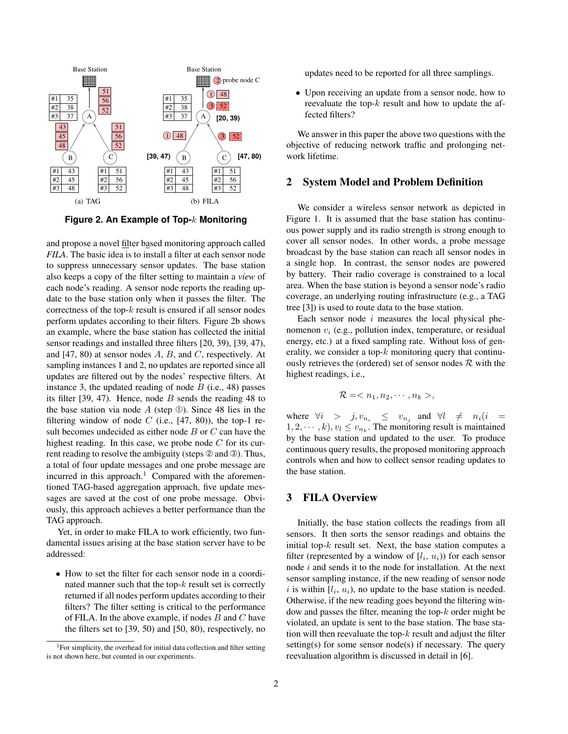

**Figure 2. An Example of Top-**k **Monitoring**

and propose a novel filter based monitoring approach called *FILA*. The basic idea is to install a filter at each sensor node to suppress unnecessary sensor updates. The base station also keeps a copy of the filter setting to maintain a *view* of each node's reading. A sensor node reports the reading update to the base station only when it passes the filter. The correctness of the top- $k$  result is ensured if all sensor nodes perform updates according to their filters. Figure 2b shows an example, where the base station has collected the initial sensor readings and installed three filters [20, 39), [39, 47), and  $[47, 80)$  at sensor nodes A, B, and C, respectively. At sampling instances 1 and 2, no updates are reported since all updates are filtered out by the nodes' respective filters. At instance 3, the updated reading of node  $B$  (i.e., 48) passes its filter  $[39, 47)$ . Hence, node B sends the reading 48 to the base station via node  $A$  (step ①). Since 48 lies in the filtering window of node  $C$  (i.e., [47, 80)), the top-1 result becomes undecided as either node B or C can have the highest reading. In this case, we probe node  $C$  for its current reading to resolve the ambiguity (steps  $\circled{2}$  and  $\circled{3}$ ). Thus, a total of four update messages and one probe message are incurred in this approach.<sup>1</sup> Compared with the aforementioned TAG-based aggregation approach, five update messages are saved at the cost of one probe message. Obviously, this approach achieves a better performance than the TAG approach.

Yet, in order to make FILA to work efficiently, two fundamental issues arising at the base station server have to be addressed:

• How to set the filter for each sensor node in a coordinated manner such that the top- $k$  result set is correctly returned if all nodes perform updates according to their filters? The filter setting is critical to the performance of FILA. In the above example, if nodes  $B$  and  $C$  have the filters set to [39, 50) and [50, 80), respectively, no

updates need to be reported for all three samplings.

• Upon receiving an update from a sensor node, how to reevaluate the top- $k$  result and how to update the affected filters?

We answer in this paper the above two questions with the objective of reducing network traffic and prolonging network lifetime.

#### **2 System Model and Problem Definition**

We consider a wireless sensor network as depicted in Figure 1. It is assumed that the base station has continuous power supply and its radio strength is strong enough to cover all sensor nodes. In other words, a probe message broadcast by the base station can reach all sensor nodes in a single hop. In contrast, the sensor nodes are powered by battery. Their radio coverage is constrained to a local area. When the base station is beyond a sensor node's radio coverage, an underlying routing infrastructure (e.g., a TAG tree [3]) is used to route data to the base station.

Each sensor node  $i$  measures the local physical phenomenon  $v_i$  (e.g., pollution index, temperature, or residual energy, etc.) at a fixed sampling rate. Without loss of generality, we consider a top- $k$  monitoring query that continuously retrieves the (ordered) set of sensor nodes  $\mathcal R$  with the highest readings, i.e.,

$$
\mathcal{R} = ,
$$

where  $\forall i > j, v_{n_i} \le v_{n_j}$  and  $\forall l \ne n_i (i =$  $1, 2, \dots, k$ ,  $v_l \le v_{n_k}$ . The monitoring result is maintained by the base station and updated to the user. To produce continuous query results, the proposed monitoring approach controls when and how to collect sensor reading updates to the base station.

# **3 FILA Overview**

Initially, the base station collects the readings from all sensors. It then sorts the sensor readings and obtains the initial top- $k$  result set. Next, the base station computes a filter (represented by a window of  $[l_i, u_i)$ ) for each sensor node  $i$  and sends it to the node for installation. At the next sensor sampling instance, if the new reading of sensor node i is within  $[l_i, u_i)$ , no update to the base station is needed. Otherwise, if the new reading goes beyond the filtering window and passes the filter, meaning the top- $k$  order might be violated, an update is sent to the base station. The base station will then reevaluate the top- $k$  result and adjust the filter setting(s) for some sensor node(s) if necessary. The query reevaluation algorithm is discussed in detail in [6].

<sup>&</sup>lt;sup>1</sup>For simplicity, the overhead for initial data collection and filter setting is not shown here, but counted in our experiments.